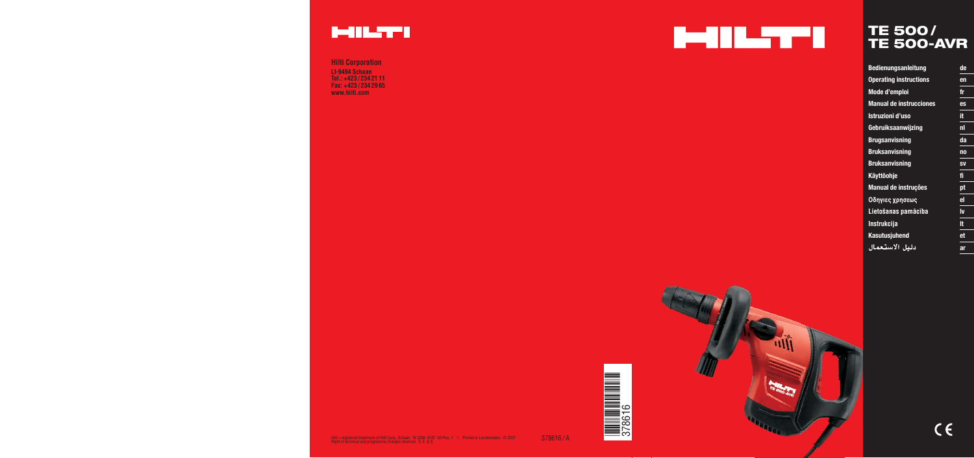# **TE 500 / TE 500-AVR**





**Hilti Corporation LI-9494 Schaan Tel.: +423 / 234 21 11 Fax: +423 / 234 29 65 www.hilti.com**



Hilti = registered trademark of Hilti Corp., Schaan W 3256 0107 00-Pos. 1 1 Printed in Liechtenstein © 2007 Right of technical and programme changes reserved S. E. & O. 378616 / A

# **Designation**

| <b>Bedienungsanleitung</b>     | de             |
|--------------------------------|----------------|
| <b>Operating instructions</b>  | en             |
| Mode d'emploi                  | fr             |
| <b>Manual de instrucciones</b> | es             |
| Istruzioni d'uso               | it             |
| Gebruiksaanwijzing             | n <sub>l</sub> |
| <b>Brugsanvisning</b>          | da             |
| <b>Bruksanvisning</b>          | no             |
| <b>Bruksanvisning</b>          | <b>SV</b>      |
| Käyttöohje                     | fi             |
| Manual de instruções           | pt             |
| <u>Οδηγ</u> ιες χρησεως        | el             |
| Lietošanas pamācība            | Iv             |
| Instrukcija                    | It             |
| Kasutusjuhend                  | et             |
| دليل الاستعمال                 | ar             |
|                                |                |

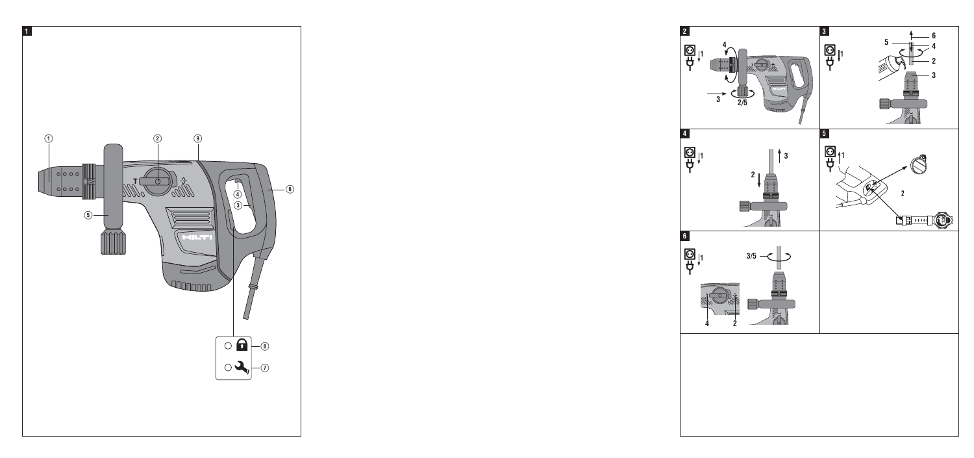

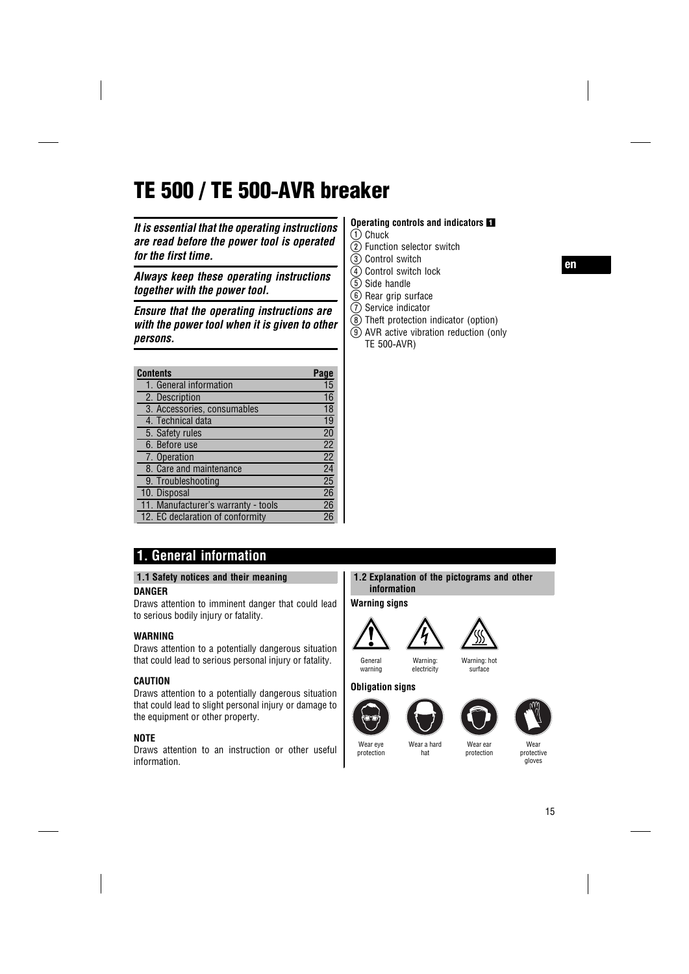# **TE 500 / TE 500**‑**AVR breaker**

*It is essential that the operating instructions are read before the power tool is operated for the first time.*

*Always keep these operating instructions together with the power tool.*

*Ensure that the operating instructions are with the power tool when it is given to other persons.*

| <b>Contents</b>                     | Page            |
|-------------------------------------|-----------------|
| 1. General information              | 15              |
| 2. Description                      | 16              |
| 3. Accessories, consumables         | 18              |
| 4. Technical data                   | 19              |
| 5. Safety rules                     | 20              |
| 6. Before use                       | $\overline{22}$ |
| 7. Operation                        | $\overline{22}$ |
| 8. Care and maintenance             | $\overline{24}$ |
| 9. Troubleshooting                  | $\overline{25}$ |
| 10. Disposal                        | $\overline{26}$ |
| 11. Manufacturer's warranty - tools | 26              |
| 12. EC declaration of conformity    |                 |

# **1. General information**

#### **1.1 Safety notices and their meaning DANGER**

Draws attention to imminent danger that could lead to serious bodily injury or fatality.

#### **WARNING**

Draws attention to a potentially dangerous situation that could lead to serious personal injury or fatality.

#### **CAUTION**

Draws attention to a potentially dangerous situation that could lead to slight personal injury or damage to the equipment or other property.

#### **NOTE**

Draws attention to an instruction or other useful information.

## **Operating controls and indicators**

- @ Chuck
- $(2)$  Function selector switch
- = Control switch % Control switch lock
- $\overline{6}$  Side handle
	- (6) Rear grip surface
	- ) Service indicator
	- $\circledR$  Theft protection indicator (option)
	- § AVR active vibration reduction (only
		- TE 500‑AVR)

## **1.2 Explanation of the pictograms and other information**

#### **Warning signs**

General

Wear eye protection





warning electricity

**Obligation signs**







Wear ear protection



Wear a hard hat

Wear protective gloves

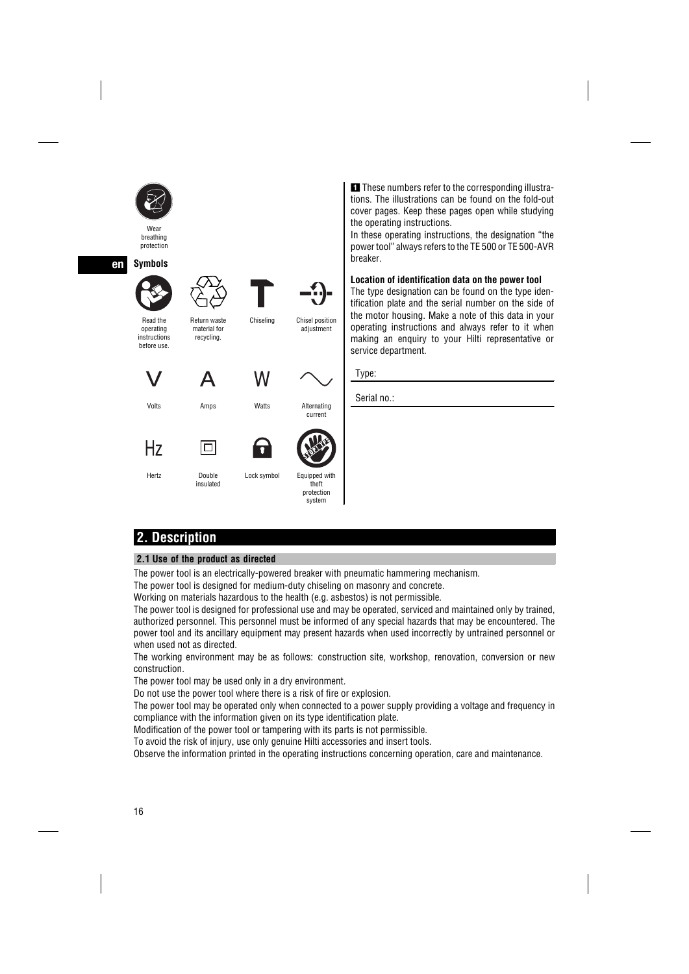

 $\blacksquare$  These numbers refer to the corresponding illustrations. The illustrations can be found on the fold-out cover pages. Keep these pages open while studying the operating instructions.

In these operating instructions, the designation "the power tool" always refers to the TE 500 or TE 500-AVR breaker.

#### **Location of identification data on the power tool**

The type designation can be found on the type identification plate and the serial number on the side of the motor housing. Make a note of this data in your operating instructions and always refer to it when making an enquiry to your Hilti representative or service department.

Type:

Serial no.:

## **2. Description**

#### **2.1 Use of the product as directed**

The power tool is an electrically-powered breaker with pneumatic hammering mechanism.

The power tool is designed for medium-duty chiseling on masonry and concrete.

Working on materials hazardous to the health (e.g. asbestos) is not permissible.

The power tool is designed for professional use and may be operated, serviced and maintained only by trained, authorized personnel. This personnel must be informed of any special hazards that may be encountered. The power tool and its ancillary equipment may present hazards when used incorrectly by untrained personnel or when used not as directed.

The working environment may be as follows: construction site, workshop, renovation, conversion or new construction.

The power tool may be used only in a dry environment.

Do not use the power tool where there is a risk of fire or explosion.

The power tool may be operated only when connected to a power supply providing a voltage and frequency in compliance with the information given on its type identification plate.

Modification of the power tool or tampering with its parts is not permissible.

To avoid the risk of injury, use only genuine Hilti accessories and insert tools.

Observe the information printed in the operating instructions concerning operation, care and maintenance.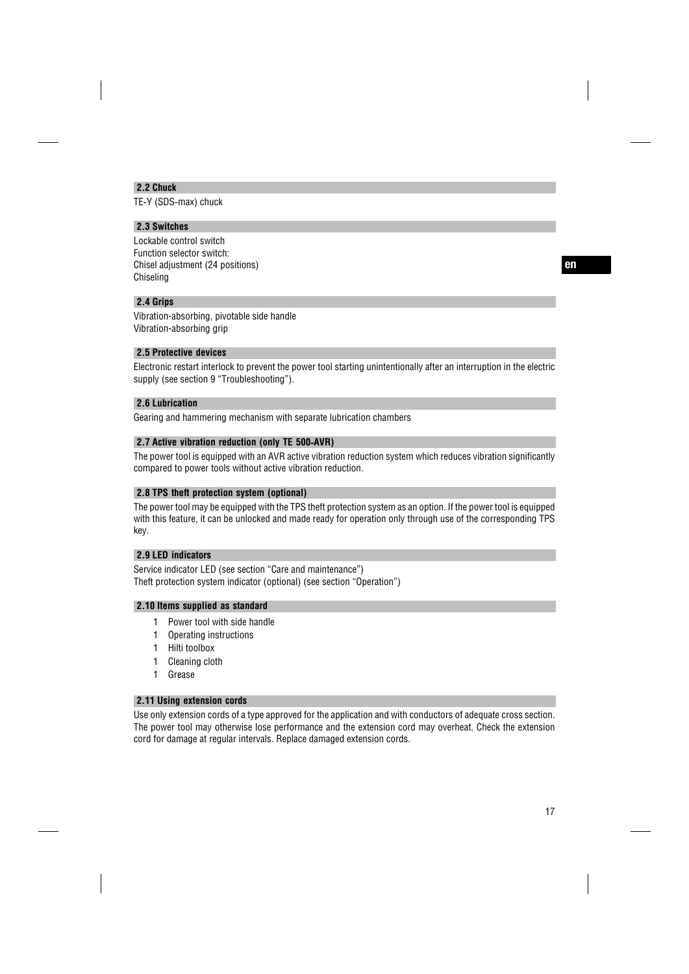#### **2.2 Chuck**

TE‑Y (SDS‑max) chuck

#### **2.3 Switches**

Lockable control switch Function selector switch: Chisel adjustment (24 positions) Chiseling

#### **2.4 Grips**

Vibration-absorbing, pivotable side handle Vibration-absorbing grip

#### **2.5 Protective devices**

Electronic restart interlock to prevent the power tool starting unintentionally after an interruption in the electric supply (see section 9 "Troubleshooting").

#### **2.6 Lubrication**

Gearing and hammering mechanism with separate lubrication chambers

#### **2.7 Active vibration reduction (only TE 500**‑**AVR)**

The power tool is equipped with an AVR active vibration reduction system which reduces vibration significantly compared to power tools without active vibration reduction.

#### **2.8 TPS theft protection system (optional)**

The power tool may be equipped with the TPS theft protection system as an option. If the power tool is equipped with this feature, it can be unlocked and made ready for operation only through use of the corresponding TPS key.

#### **2.9 LED indicators**

Service indicator LED (see section "Care and maintenance") Theft protection system indicator (optional) (see section "Operation")

#### **2.10 Items supplied as standard**

- 1 Power tool with side handle
- 1 Operating instructions
- 1 Hilti toolbox
- 1 Cleaning cloth
- 1 Grease

#### **2.11 Using extension cords**

Use only extension cords of a type approved for the application and with conductors of adequate cross section. The power tool may otherwise lose performance and the extension cord may overheat. Check the extension cord for damage at regular intervals. Replace damaged extension cords.

**en**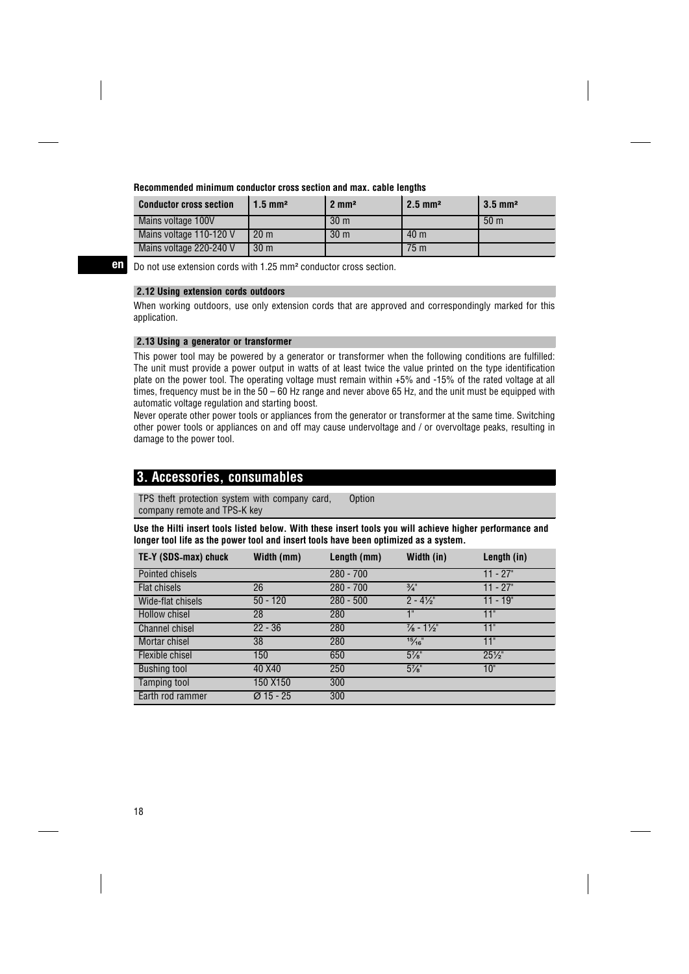**Recommended minimum conductor cross section and max. cable lengths**

| <b>Conductor cross section</b> | $1.5 \text{ mm}^2$ | $2 \text{ mm}^2$ | $2.5 \text{ mm}^2$ | $3.5 \text{ mm}^2$ |
|--------------------------------|--------------------|------------------|--------------------|--------------------|
| Mains voltage 100V             |                    | 30 <sub>m</sub>  |                    | 50 <sub>m</sub>    |
| Mains voltage 110-120 V        | 20 <sub>m</sub>    | 30 <sub>m</sub>  | 40 <sub>m</sub>    |                    |
| Mains voltage 220-240 V        | 30 <sub>m</sub>    |                  | 75 m               |                    |

Do not use extension cords with 1.25 mm² conductor cross section. **en**

#### **2.12 Using extension cords outdoors**

When working outdoors, use only extension cords that are approved and correspondingly marked for this application.

#### **2.13 Using a generator or transformer**

This power tool may be powered by a generator or transformer when the following conditions are fulfilled: The unit must provide a power output in watts of at least twice the value printed on the type identification plate on the power tool. The operating voltage must remain within +5% and -15% of the rated voltage at all times, frequency must be in the  $50 - 60$  Hz range and never above 65 Hz, and the unit must be equipped with automatic voltage regulation and starting boost.

Never operate other power tools or appliances from the generator or transformer at the same time. Switching other power tools or appliances on and off may cause undervoltage and / or overvoltage peaks, resulting in damage to the power tool.

## **3. Accessories, consumables**

TPS theft protection system with company card, company remote and TPS‑K key **Option** 

**Use the Hilti insert tools listed below. With these insert tools you will achieve higher performance and longer tool life as the power tool and insert tools have been optimized as a system.**

| TE-Y (SDS-max) chuck  | Width (mm)  | Length (mm) | Width (in)                        | Length (in)     |
|-----------------------|-------------|-------------|-----------------------------------|-----------------|
| Pointed chisels       |             | $280 - 700$ |                                   | $11 - 27"$      |
| <b>Flat chisels</b>   | 26          | $280 - 700$ | $\frac{3}{4}$                     | $11 - 27"$      |
| Wide-flat chisels     | $50 - 120$  | $280 - 500$ | $2 - 4\frac{1}{2}$                | $11 - 19"$      |
| <b>Hollow chisel</b>  | 28          | 280         | 1"                                | 11"             |
| <b>Channel chisel</b> | $22 - 36$   | 280         | $\frac{7}{8}$ - 1 $\frac{1}{2}$ " | 11"             |
| Mortar chisel         | 38          | 280         | $\frac{15}{16}$                   | 11"             |
| Flexible chisel       | 150         | 650         | $5\frac{7}{8}$                    | $25\frac{1}{2}$ |
| <b>Bushing tool</b>   | 40 X40      | 250         | $5\frac{7}{8}$                    | 10"             |
| Tamping tool          | 150 X150    | 300         |                                   |                 |
| Earth rod rammer      | $Ø$ 15 - 25 | 300         |                                   |                 |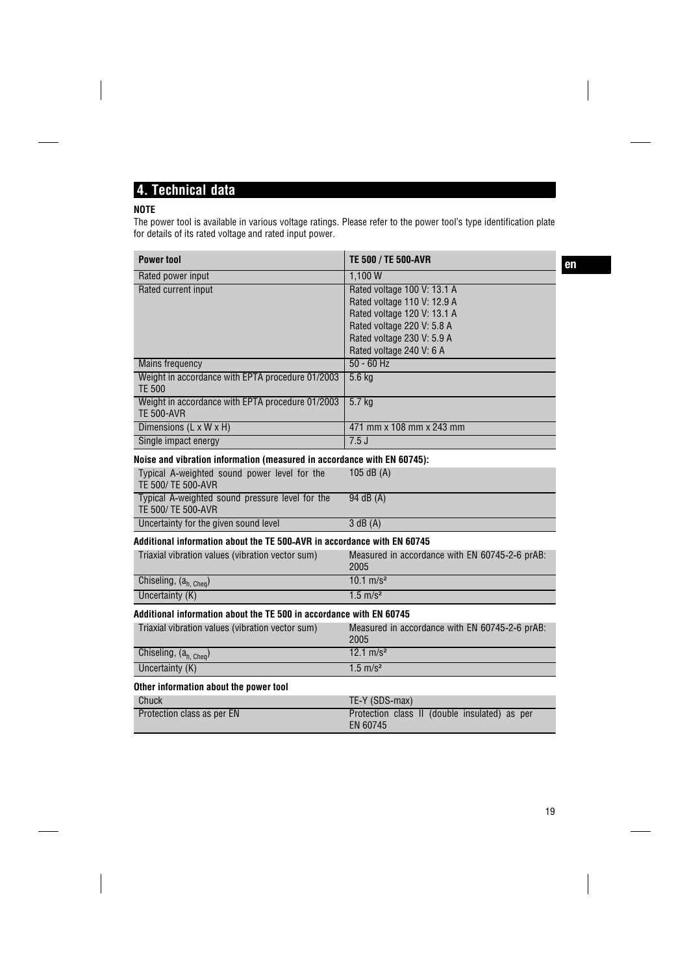# **4. Technical data**

## **NOTE**

 $\overline{\phantom{a}}$ 

The power tool is available in various voltage ratings. Please refer to the power tool's type identification plate for details of its rated voltage and rated input power.

| <b>Power tool</b>                                                       | TE 500 / TE 500-AVR                                       | en |
|-------------------------------------------------------------------------|-----------------------------------------------------------|----|
| Rated power input                                                       | 1,100W                                                    |    |
| Rated current input                                                     | Rated voltage 100 V: 13.1 A                               |    |
|                                                                         | Rated voltage 110 V: 12.9 A                               |    |
|                                                                         | Rated voltage 120 V: 13.1 A                               |    |
|                                                                         | Rated voltage 220 V: 5.8 A                                |    |
|                                                                         | Rated voltage 230 V: 5.9 A                                |    |
|                                                                         | Rated voltage 240 V: 6 A                                  |    |
| <b>Mains frequency</b>                                                  | $50 - 60$ Hz                                              |    |
| Weight in accordance with EPTA procedure 01/2003<br><b>TE 500</b>       | 5.6 kg                                                    |    |
| Weight in accordance with EPTA procedure 01/2003<br><b>TE 500-AVR</b>   | $5.7$ kg                                                  |    |
| Dimensions (L x W x H)                                                  | 471 mm x 108 mm x 243 mm                                  |    |
| Single impact energy                                                    | 7.5J                                                      |    |
| Noise and vibration information (measured in accordance with EN 60745): |                                                           |    |
| Typical A-weighted sound power level for the<br>TE 500/ TE 500-AVR      | 105 dB $(A)$                                              |    |
| Typical A-weighted sound pressure level for the<br>TE 500/ TE 500-AVR   | 94 dB (A)                                                 |    |
| Uncertainty for the given sound level                                   | 3 dB(A)                                                   |    |
| Additional information about the TE 500-AVR in accordance with EN 60745 |                                                           |    |
| Triaxial vibration values (vibration vector sum)                        | Measured in accordance with EN 60745-2-6 prAB:<br>2005    |    |
| Chiseling, $(a_{h, Chea})$                                              | $10.1 \text{ m/s}^2$                                      |    |
| Uncertainty (K)                                                         | $1.5 \text{ m/s}^2$                                       |    |
| Additional information about the TE 500 in accordance with EN 60745     |                                                           |    |
| Triaxial vibration values (vibration vector sum)                        | Measured in accordance with EN 60745-2-6 prAB:<br>2005    |    |
| Chiseling, (a <sub>h, Cheq</sub> )                                      | $12.1 \text{ m/s}^2$                                      |    |
| Uncertainty (K)                                                         | $1.5 \text{ m/s}^2$                                       |    |
| Other information about the power tool                                  |                                                           |    |
| Chuck                                                                   | TE-Y (SDS-max)                                            |    |
| Protection class as per EN                                              | Protection class II (double insulated) as per<br>EN 60745 |    |

 $\overline{\phantom{a}}$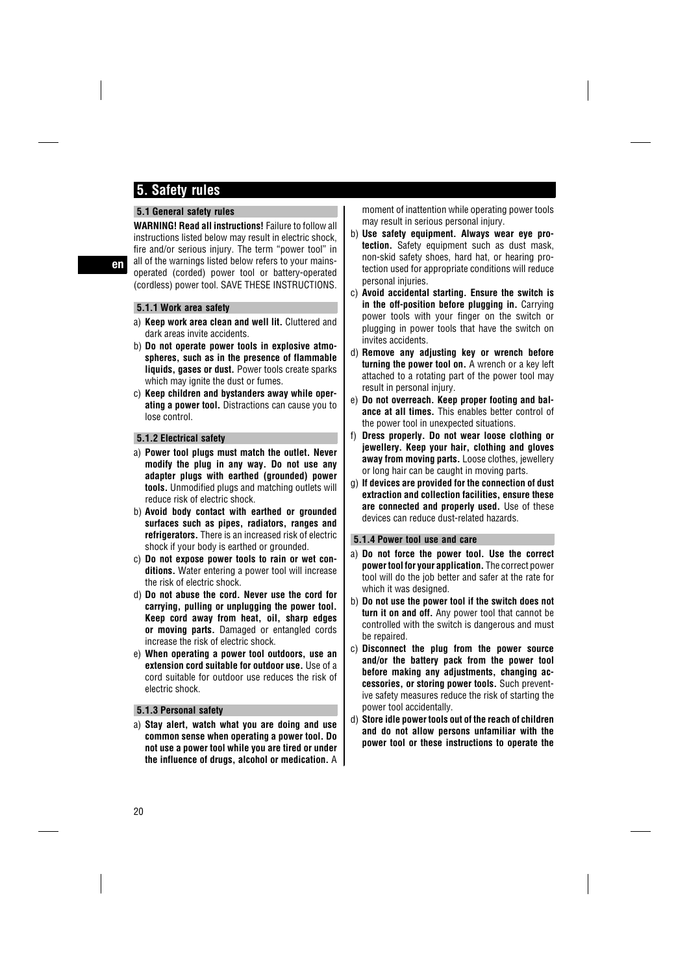## **5. Safety rules**

#### **5.1 General safety rules**

**WARNING! Read all instructions!** Failure to follow all instructions listed below may result in electric shock, fire and/or serious injury. The term "power tool" in all of the warnings listed below refers to your mainsoperated (corded) power tool or battery-operated (cordless) power tool. SAVE THESE INSTRUCTIONS.

## **5.1.1 Work area safety**

**en**

- a) **Keep work area clean and well lit.** Cluttered and dark areas invite accidents.
- b) **Do not operate power tools in explosive atmospheres, such as in the presence of flammable liquids, gases or dust.** Power tools create sparks which may ignite the dust or fumes.
- c) **Keep children and bystanders away while operating a power tool.** Distractions can cause you to lose control.

#### **5.1.2 Electrical safety**

- a) **Power tool plugs must match the outlet. Never modify the plug in any way. Do not use any adapter plugs with earthed (grounded) power tools.** Unmodified plugs and matching outlets will reduce risk of electric shock.
- b) **Avoid body contact with earthed or grounded surfaces such as pipes, radiators, ranges and refrigerators.** There is an increased risk of electric shock if your body is earthed or grounded.
- c) **Do not expose power tools to rain or wet conditions.** Water entering a power tool will increase the risk of electric shock.
- d) **Do not abuse the cord. Never use the cord for carrying, pulling or unplugging the power tool. Keep cord away from heat, oil, sharp edges or moving parts.** Damaged or entangled cords increase the risk of electric shock.
- e) **When operating a power tool outdoors, use an extension cord suitable for outdoor use.** Use of a cord suitable for outdoor use reduces the risk of electric shock.

#### **5.1.3 Personal safety**

a) **Stay alert, watch what you are doing and use common sense when operating a power tool. Do not use a power tool while you are tired or under the influence of drugs, alcohol or medication.** A moment of inattention while operating power tools may result in serious personal injury.

- b) **Use safety equipment. Always wear eye protection.** Safety equipment such as dust mask, non-skid safety shoes, hard hat, or hearing protection used for appropriate conditions will reduce personal injuries.
- c) **Avoid accidental starting. Ensure the switch is in the off-position before plugging in.** Carrying power tools with your finger on the switch or plugging in power tools that have the switch on invites accidents.
- d) **Remove any adjusting key or wrench before turning the power tool on.** A wrench or a key left attached to a rotating part of the power tool may result in personal injury.
- e) **Do not overreach. Keep proper footing and balance at all times.** This enables better control of the power tool in unexpected situations.
- f) **Dress properly. Do not wear loose clothing or jewellery. Keep your hair, clothing and gloves away from moving parts.** Loose clothes, jewellery or long hair can be caught in moving parts.
- g) **If devices are provided for the connection of dust extraction and collection facilities, ensure these are connected and properly used.** Use of these devices can reduce dust-related hazards.

#### **5.1.4 Power tool use and care**

- a) **Do not force the power tool. Use the correct power tool for your application.** The correct power tool will do the job better and safer at the rate for which it was designed.
- b) **Do not use the power tool if the switch does not turn it on and off.** Any power tool that cannot be controlled with the switch is dangerous and must be repaired.
- c) **Disconnect the plug from the power source and/or the battery pack from the power tool before making any adjustments, changing accessories, or storing power tools.** Such preventive safety measures reduce the risk of starting the power tool accidentally.
- d) **Store idle power tools out of the reach of children and do not allow persons unfamiliar with the power tool or these instructions to operate the**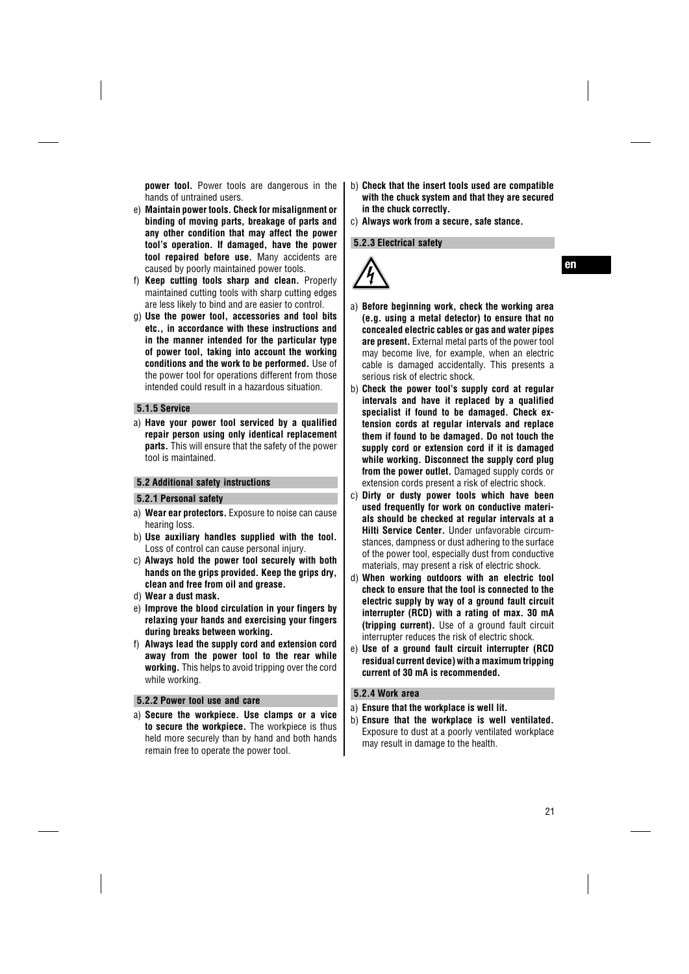**power tool.** Power tools are dangerous in the hands of untrained users.

- e) **Maintain power tools. Check for misalignment or binding of moving parts, breakage of parts and any other condition that may affect the power tool's operation. If damaged, have the power tool repaired before use.** Many accidents are caused by poorly maintained power tools.
- f) **Keep cutting tools sharp and clean.** Properly maintained cutting tools with sharp cutting edges are less likely to bind and are easier to control.
- g) **Use the power tool, accessories and tool bits etc., in accordance with these instructions and in the manner intended for the particular type of power tool, taking into account the working conditions and the work to be performed.** Use of the power tool for operations different from those intended could result in a hazardous situation.

#### **5.1.5 Service**

a) **Have your power tool serviced by a qualified repair person using only identical replacement parts.** This will ensure that the safety of the power tool is maintained.

#### **5.2 Additional safety instructions**

#### **5.2.1 Personal safety**

- a) **Wear ear protectors.** Exposure to noise can cause hearing loss.
- b) **Use auxiliary handles supplied with the tool.** Loss of control can cause personal injury.
- c) **Always hold the power tool securely with both hands on the grips provided. Keep the grips dry, clean and free from oil and grease.**
- d) **Wear a dust mask.**
- e) **Improve the blood circulation in your fingers by relaxing your hands and exercising your fingers during breaks between working.**
- f) **Always lead the supply cord and extension cord away from the power tool to the rear while working.** This helps to avoid tripping over the cord while working.

#### **5.2.2 Power tool use and care**

a) **Secure the workpiece. Use clamps or a vice to secure the workpiece.** The workpiece is thus held more securely than by hand and both hands remain free to operate the power tool.

b) **Check that the insert tools used are compatible with the chuck system and that they are secured in the chuck correctly.**

**en**

c) **Always work from a secure, safe stance.**

#### **5.2.3 Electrical safety**



- a) **Before beginning work, check the working area (e.g. using a metal detector) to ensure that no concealed electric cables or gas and water pipes are present.** External metal parts of the power tool may become live, for example, when an electric cable is damaged accidentally. This presents a serious risk of electric shock.
- b) **Check the power tool's supply cord at regular intervals and have it replaced by a qualified specialist if found to be damaged. Check extension cords at regular intervals and replace them if found to be damaged. Do not touch the supply cord or extension cord if it is damaged while working. Disconnect the supply cord plug from the power outlet.** Damaged supply cords or extension cords present a risk of electric shock.
- c) **Dirty or dusty power tools which have been used frequently for work on conductive materials should be checked at regular intervals at a Hilti Service Center.** Under unfavorable circumstances, dampness or dust adhering to the surface of the power tool, especially dust from conductive materials, may present a risk of electric shock.
- d) **When working outdoors with an electric tool check to ensure that the tool is connected to the electric supply by way of a ground fault circuit interrupter (RCD) with a rating of max. 30 mA (tripping current).** Use of a ground fault circuit interrupter reduces the risk of electric shock.
- e) **Use of a ground fault circuit interrupter (RCD residual current device) with a maximum tripping current of 30 mA is recommended.**

#### **5.2.4 Work area**

- a) **Ensure that the workplace is well lit.**
- b) **Ensure that the workplace is well ventilated.** Exposure to dust at a poorly ventilated workplace may result in damage to the health.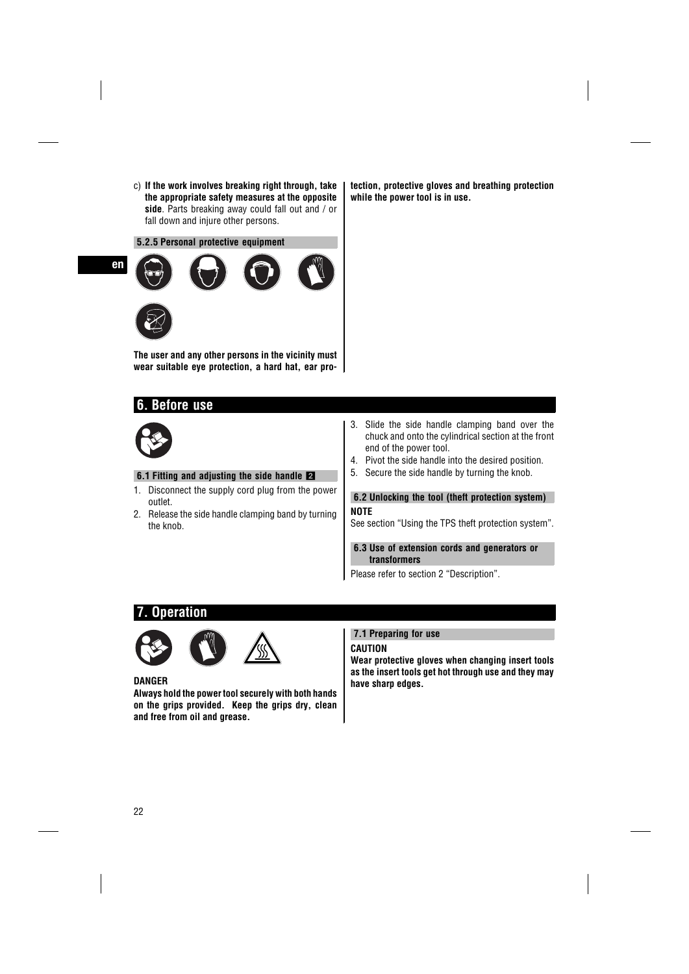c) **If the work involves breaking right through, take the appropriate safety measures at the opposite side**. Parts breaking away could fall out and / or fall down and injure other persons.

**5.2.5 Personal protective equipment**



**The user and any other persons in the vicinity must wear suitable eye protection, a hard hat, ear pro-**

#### **6. Before use**



#### **6.1 Fitting and adjusting the side handle 2**

- 1. Disconnect the supply cord plug from the power outlet.
- 2. Release the side handle clamping band by turning the knob.

**tection, protective gloves and breathing protection while the power tool is in use.**

- 3. Slide the side handle clamping band over the chuck and onto the cylindrical section at the front end of the power tool.
- 4. Pivot the side handle into the desired position.
- 5. Secure the side handle by turning the knob.

## **6.2 Unlocking the tool (theft protection system) NOTE**

See section "Using the TPS theft protection system".

**6.3 Use of extension cords and generators or transformers**

Please refer to section 2 "Description".

## **7. Operation**





**7.1 Preparing for use CAUTION**

**have sharp edges.**

**Wear protective gloves when changing insert tools as the insert tools get hot through use and they may**

## **DANGER**

**Always hold the power tool securely with both hands on the grips provided. Keep the grips dry, clean and free from oil and grease.**

22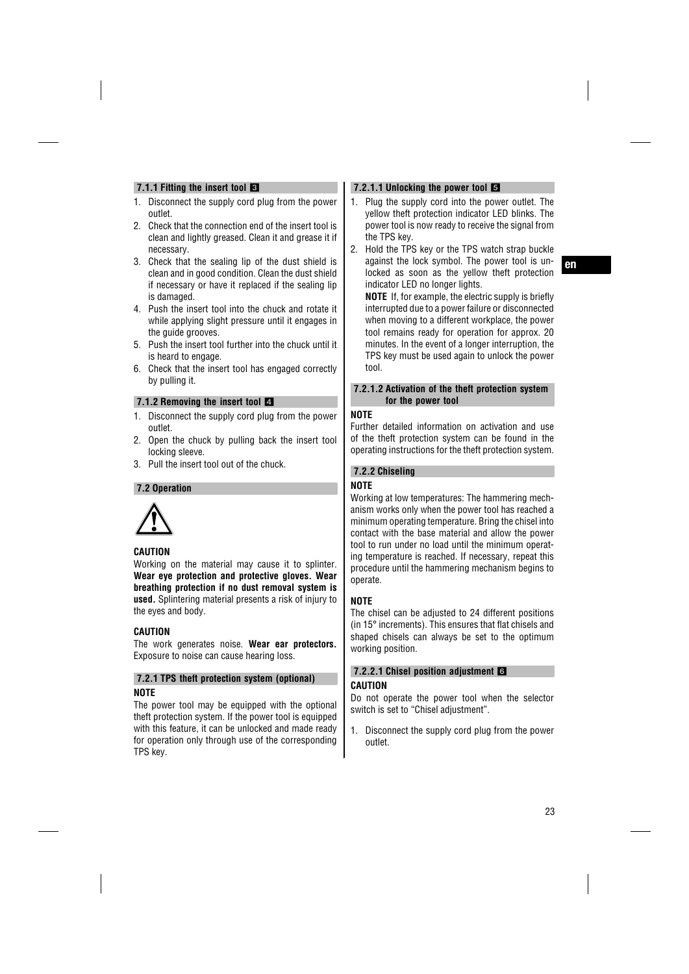#### **7.1.1 Fitting the insert tool 3**

- 1. Disconnect the supply cord plug from the power outlet.
- 2. Check that the connection end of the insert tool is clean and lightly greased. Clean it and grease it if necessary.
- 3. Check that the sealing lip of the dust shield is clean and in good condition. Clean the dust shield if necessary or have it replaced if the sealing lip is damaged.
- 4. Push the insert tool into the chuck and rotate it while applying slight pressure until it engages in the guide grooves.
- 5. Push the insert tool further into the chuck until it is heard to engage.
- 6. Check that the insert tool has engaged correctly by pulling it.

#### **7.1.2 Removing the insert tool 21**

- 1. Disconnect the supply cord plug from the power outlet.
- 2. Open the chuck by pulling back the insert tool locking sleeve.
- 3. Pull the insert tool out of the chuck.

## **7.2 Operation**



#### **CAUTION**

Working on the material may cause it to splinter. **Wear eye protection and protective gloves. Wear breathing protection if no dust removal system is used.** Splintering material presents a risk of injury to the eyes and body.

#### **CAUTION**

The work generates noise. **Wear ear protectors.** Exposure to noise can cause hearing loss.

## **7.2.1 TPS theft protection system (optional) NOTE**

The power tool may be equipped with the optional theft protection system. If the power tool is equipped with this feature, it can be unlocked and made ready for operation only through use of the corresponding TPS key.

#### **7.2.1.1 Unlocking the power tool 5**

- 1. Plug the supply cord into the power outlet. The yellow theft protection indicator LED blinks. The power tool is now ready to receive the signal from the TPS key.
- 2. Hold the TPS key or the TPS watch strap buckle against the lock symbol. The power tool is unlocked as soon as the yellow theft protection indicator LED no longer lights.

**NOTE** If, for example, the electric supply is briefly interrupted due to a power failure or disconnected when moving to a different workplace, the power tool remains ready for operation for approx. 20 minutes. In the event of a longer interruption, the TPS key must be used again to unlock the power tool.

#### **7.2.1.2 Activation of the theft protection system for the power tool**

## **NOTE**

Further detailed information on activation and use of the theft protection system can be found in the operating instructions for the theft protection system.

## **7.2.2 Chiseling**

## **NOTE**

Working at low temperatures: The hammering mechanism works only when the power tool has reached a minimum operating temperature. Bring the chisel into contact with the base material and allow the power tool to run under no load until the minimum operating temperature is reached. If necessary, repeat this procedure until the hammering mechanism begins to operate.

#### **NOTE**

The chisel can be adjusted to 24 different positions (in 15° increments). This ensures that flat chisels and shaped chisels can always be set to the optimum working position.

#### **7.2.2.1 Chisel position adjustment** 6 **CAUTION**

Do not operate the power tool when the selector switch is set to "Chisel adjustment".

1. Disconnect the supply cord plug from the power outlet.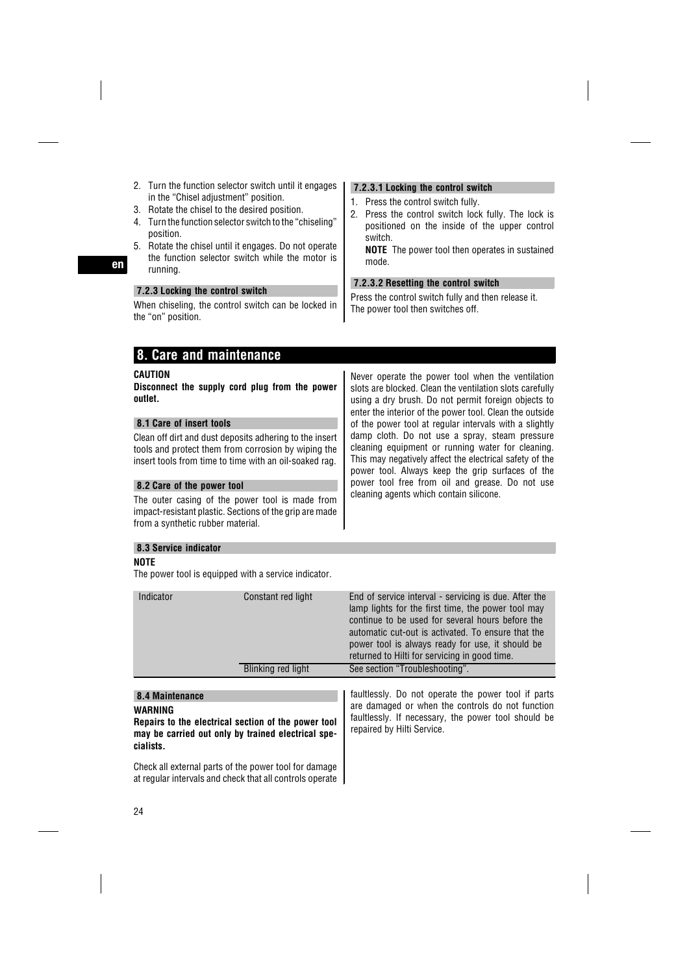- 2. Turn the function selector switch until it engages in the "Chisel adjustment" position.
- 3. Rotate the chisel to the desired position.
- 4. Turn the function selector switch to the "chiseling" position.
- 5. Rotate the chisel until it engages. Do not operate the function selector switch while the motor is running.

#### **7.2.3 Locking the control switch**

When chiseling, the control switch can be locked in the "on" position.

#### **7.2.3.1 Locking the control switch**

- 1. Press the control switch fully.
- 2. Press the control switch lock fully. The lock is positioned on the inside of the upper control switch.

**NOTE** The power tool then operates in sustained mode.

#### **7.2.3.2 Resetting the control switch**

Press the control switch fully and then release it. The power tool then switches off.

## **8. Care and maintenance**

#### **CAUTION**

**Disconnect the supply cord plug from the power outlet.**

## **8.1 Care of insert tools**

Clean off dirt and dust deposits adhering to the insert tools and protect them from corrosion by wiping the insert tools from time to time with an oil-soaked rag.

#### **8.2 Care of the power tool**

The outer casing of the power tool is made from impact-resistant plastic. Sections of the grip are made from a synthetic rubber material.

#### **8.3 Service indicator**

#### **NOTE**

The power tool is equipped with a service indicator.

| Indicator       | Constant red light | End of service interval - servicing is due. After the<br>lamp lights for the first time, the power tool may<br>continue to be used for several hours before the<br>automatic cut-out is activated. To ensure that the<br>power tool is always ready for use, it should be<br>returned to Hilti for servicing in good time. |
|-----------------|--------------------|----------------------------------------------------------------------------------------------------------------------------------------------------------------------------------------------------------------------------------------------------------------------------------------------------------------------------|
|                 | Blinking red light | See section "Troubleshooting".                                                                                                                                                                                                                                                                                             |
| 8.4 Maintenance |                    | faultlessly. Do not operate the power tool if parts                                                                                                                                                                                                                                                                        |

## **8.4 Maintenance**

#### **WARNING**

**Repairs to the electrical section of the power tool may be carried out only by trained electrical specialists.**

Check all external parts of the power tool for damage at regular intervals and check that all controls operate

**en**

Never operate the power tool when the ventilation slots are blocked. Clean the ventilation slots carefully using a dry brush. Do not permit foreign objects to enter the interior of the power tool. Clean the outside of the power tool at regular intervals with a slightly damp cloth. Do not use a spray, steam pressure cleaning equipment or running water for cleaning. This may negatively affect the electrical safety of the power tool. Always keep the grip surfaces of the power tool free from oil and grease. Do not use cleaning agents which contain silicone.

are damaged or when the controls do not function faultlessly. If necessary, the power tool should be

repaired by Hilti Service.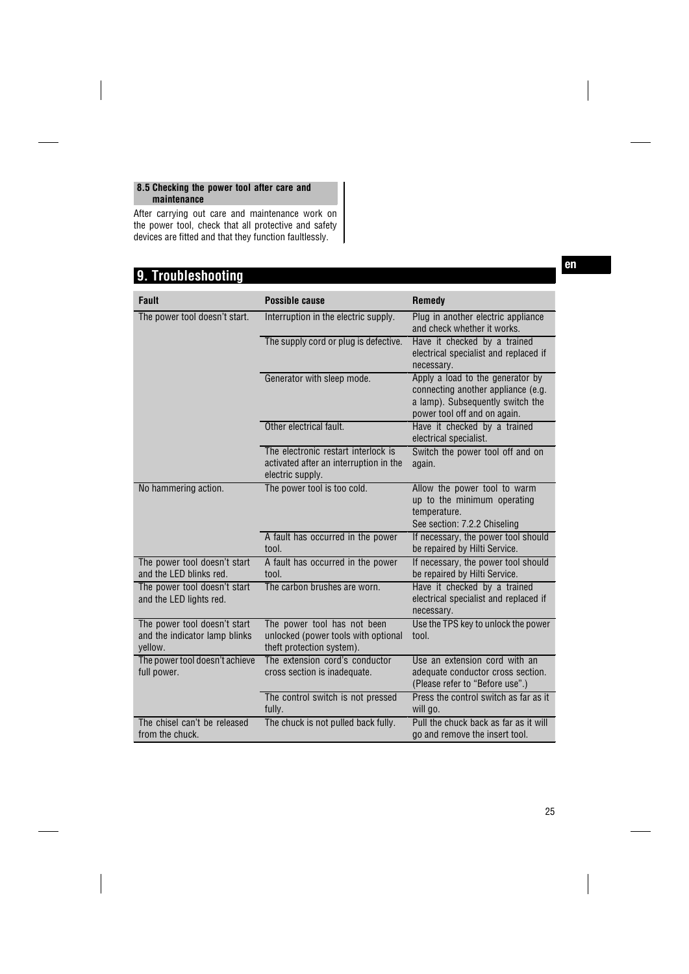## **8.5 Checking the power tool after care and maintenance**

After carrying out care and maintenance work on the power tool, check that all protective and safety devices are fitted and that they function faultlessly.

## **9. Troubleshooting**

**en**

| <b>Fault</b>                                                             | Possible cause                                                                                    | Remedy                                                                                                                                     |
|--------------------------------------------------------------------------|---------------------------------------------------------------------------------------------------|--------------------------------------------------------------------------------------------------------------------------------------------|
| The power tool doesn't start.                                            | Interruption in the electric supply.                                                              | Plug in another electric appliance<br>and check whether it works.                                                                          |
|                                                                          | The supply cord or plug is defective.                                                             | Have it checked by a trained<br>electrical specialist and replaced if<br>necessary.                                                        |
|                                                                          | Generator with sleep mode.                                                                        | Apply a load to the generator by<br>connecting another appliance (e.g.<br>a lamp). Subsequently switch the<br>power tool off and on again. |
|                                                                          | Other electrical fault.                                                                           | Have it checked by a trained<br>electrical specialist.                                                                                     |
|                                                                          | The electronic restart interlock is<br>activated after an interruption in the<br>electric supply. | Switch the power tool off and on<br>again.                                                                                                 |
| No hammering action.                                                     | The power tool is too cold.                                                                       | Allow the power tool to warm<br>up to the minimum operating<br>temperature.<br>See section: 7.2.2 Chiseling                                |
|                                                                          | A fault has occurred in the power<br>tool.                                                        | If necessary, the power tool should<br>be repaired by Hilti Service.                                                                       |
| The power tool doesn't start<br>and the LED blinks red.                  | A fault has occurred in the power<br>tool.                                                        | If necessary, the power tool should<br>be repaired by Hilti Service.                                                                       |
| The power tool doesn't start<br>and the LED lights red.                  | The carbon brushes are worn.                                                                      | Have it checked by a trained<br>electrical specialist and replaced if<br>necessary.                                                        |
| The power tool doesn't start<br>and the indicator lamp blinks<br>yellow. | The power tool has not been<br>unlocked (power tools with optional<br>theft protection system).   | Use the TPS key to unlock the power<br>tool.                                                                                               |
| The power tool doesn't achieve<br>full power.                            | The extension cord's conductor<br>cross section is inadequate.                                    | Use an extension cord with an<br>adequate conductor cross section.<br>(Please refer to "Before use".)                                      |
|                                                                          | The control switch is not pressed<br>fully.                                                       | Press the control switch as far as it<br>will go.                                                                                          |
| The chisel can't be released<br>from the chuck.                          | The chuck is not pulled back fully.                                                               | Pull the chuck back as far as it will<br>go and remove the insert tool.                                                                    |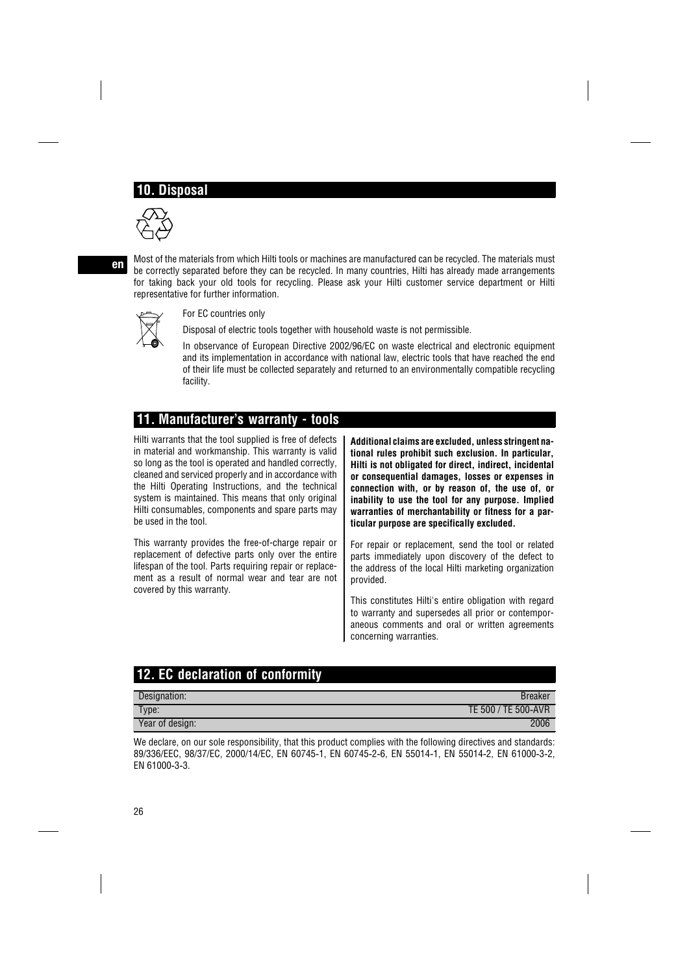## **10. Disposal**



Most of the materials from which Hilti tools or machines are manufactured can be recycled. The materials must be correctly separated before they can be recycled. In many countries, Hilti has already made arrangements for taking back your old tools for recycling. Please ask your Hilti customer service department or Hilti representative for further information.



For EC countries only

Disposal of electric tools together with household waste is not permissible.

In observance of European Directive 2002/96/EC on waste electrical and electronic equipment and its implementation in accordance with national law, electric tools that have reached the end of their life must be collected separately and returned to an environmentally compatible recycling facility.

## **11. Manufacturer's warranty - tools**

Hilti warrants that the tool supplied is free of defects in material and workmanship. This warranty is valid so long as the tool is operated and handled correctly, cleaned and serviced properly and in accordance with the Hilti Operating Instructions, and the technical system is maintained. This means that only original Hilti consumables, components and spare parts may be used in the tool.

This warranty provides the free-of-charge repair or replacement of defective parts only over the entire lifespan of the tool. Parts requiring repair or replacement as a result of normal wear and tear are not covered by this warranty.

**Additional claims are excluded, unless stringent national rules prohibit such exclusion. In particular, Hilti is not obligated for direct, indirect, incidental or consequential damages, losses or expenses in connection with, or by reason of, the use of, or inability to use the tool for any purpose. Implied warranties of merchantability or fitness for a particular purpose are specifically excluded.**

For repair or replacement, send the tool or related parts immediately upon discovery of the defect to the address of the local Hilti marketing organization provided.

This constitutes Hilti's entire obligation with regard to warranty and supersedes all prior or contemporaneous comments and oral or written agreements concerning warranties.

| <b>12. EC declaration of conformity</b> |                     |
|-----------------------------------------|---------------------|
| Designation:                            | <b>Breaker</b>      |
| Type:                                   | TE 500 / TE 500-AVR |
| Year of design:                         | 2006                |

We declare, on our sole responsibility, that this product complies with the following directives and standards: 89/336/EEC, 98/37/EC, 2000/14/EC, EN 60745‑1, EN 60745‑2‑6, EN 55014‑1, EN 55014‑2, EN 61000‑3‑2, EN 61000‑3‑3.

**en**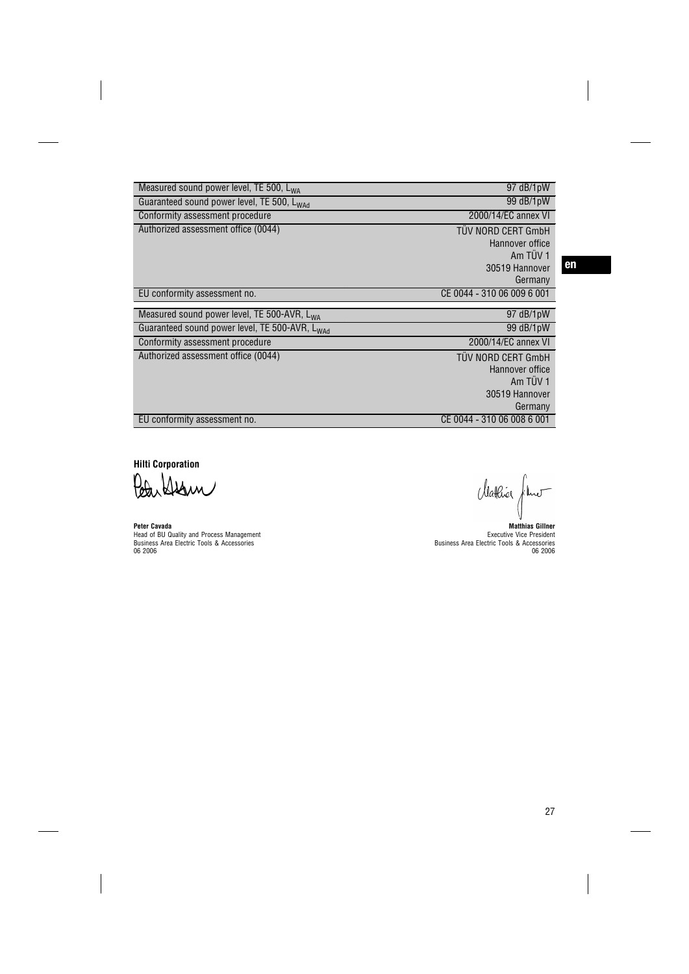| Measured sound power level, TE 500, L <sub>wa</sub>        | 97 dB/1pW                  |
|------------------------------------------------------------|----------------------------|
| Guaranteed sound power level, TE 500, L <sub>WAd</sub>     | 99 dB/1pW                  |
| Conformity assessment procedure                            | 2000/14/EC annex VI        |
| Authorized assessment office (0044)                        | <b>TUV NORD CERT GmbH</b>  |
|                                                            | Hannover office            |
|                                                            | Am TÜV 1                   |
|                                                            | 30519 Hannover             |
|                                                            | Germany                    |
| EU conformity assessment no.                               | CE 0044 - 310 06 009 6 001 |
| Measured sound power level, TE 500-AVR, L <sub>wa</sub>    |                            |
|                                                            | 97 dB/1pW                  |
| Guaranteed sound power level, TE 500-AVR, L <sub>WAd</sub> | 99 dB/1pW                  |
| Conformity assessment procedure                            | 2000/14/EC annex VI        |
| Authorized assessment office (0044)                        | <b>TUV NORD CERT GmbH</b>  |
|                                                            | Hannover office            |
|                                                            | Am TUV 1                   |
|                                                            | 30519 Hannover             |
|                                                            | Germany                    |

**Hilti Corporation**<br>**Lett** Man

**Peter Cavada Matthias Gillner** Head of BU Quality and Process Management Executive Vice President Business Area Electric Tools & Accessories Business Area Electric Tools & Accessories 06 2006 06 2006

**en**

 $\overline{\phantom{a}}$ 

 $\begin{array}{c} \hline \end{array}$